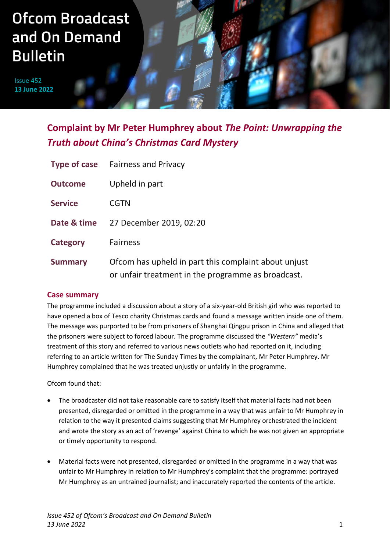# **Ofcom Broadcast** and On Demand **Bulletin**

Issue 452 **13 June 2022**

# **Complaint by Mr Peter Humphrey about** *The Point: Unwrapping the Truth about China's Christmas Card Mystery*

|                 | <b>Type of case</b> Fairness and Privacy                                                                   |
|-----------------|------------------------------------------------------------------------------------------------------------|
| <b>Outcome</b>  | Upheld in part                                                                                             |
| <b>Service</b>  | <b>CGTN</b>                                                                                                |
| Date & time     | 27 December 2019, 02:20                                                                                    |
| <b>Category</b> | <b>Fairness</b>                                                                                            |
| <b>Summary</b>  | Ofcom has upheld in part this complaint about unjust<br>or unfair treatment in the programme as broadcast. |

# **Case summary**

The programme included a discussion about a story of a six-year-old British girl who was reported to have opened a box of Tesco charity Christmas cards and found a message written inside one of them. The message was purported to be from prisoners of Shanghai Qingpu prison in China and alleged that the prisoners were subject to forced labour. The programme discussed the *"Western"* media's treatment of this story and referred to various news outlets who had reported on it, including referring to an article written for The Sunday Times by the complainant, Mr Peter Humphrey. Mr Humphrey complained that he was treated unjustly or unfairly in the programme.

Ofcom found that:

- The broadcaster did not take reasonable care to satisfy itself that material facts had not been presented, disregarded or omitted in the programme in a way that was unfair to Mr Humphrey in relation to the way it presented claims suggesting that Mr Humphrey orchestrated the incident and wrote the story as an act of 'revenge' against China to which he was not given an appropriate or timely opportunity to respond.
- Material facts were not presented, disregarded or omitted in the programme in a way that was unfair to Mr Humphrey in relation to Mr Humphrey's complaint that the programme: portrayed Mr Humphrey as an untrained journalist; and inaccurately reported the contents of the article.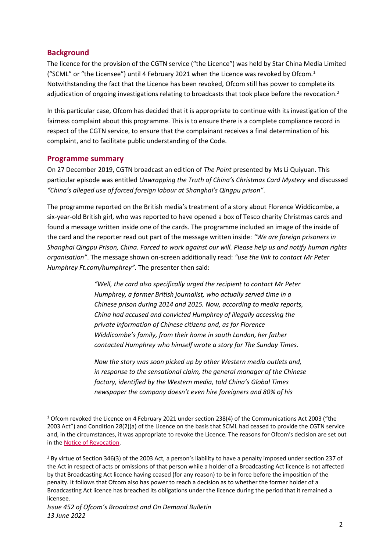#### **Background**

The licence for the provision of the CGTN service ("the Licence") was held by Star China Media Limited ("SCML" or "the Licensee") until 4 February 2021 when the Licence was revoked by Ofcom.<sup>1</sup> Notwithstanding the fact that the Licence has been revoked, Ofcom still has power to complete its adjudication of ongoing investigations relating to broadcasts that took place before the revocation.<sup>2</sup>

In this particular case, Ofcom has decided that it is appropriate to continue with its investigation of the fairness complaint about this programme. This is to ensure there is a complete compliance record in respect of the CGTN service, to ensure that the complainant receives a final determination of his complaint, and to facilitate public understanding of the Code.

#### **Programme summary**

On 27 December 2019, CGTN broadcast an edition of *The Point* presented by Ms Li Quiyuan. This particular episode was entitled *Unwrapping the Truth of China's Christmas Card Mystery* and discussed *"China's alleged use of forced foreign labour at Shanghai's Qingpu prison"*.

The programme reported on the British media's treatment of a story about Florence Widdicombe, a six-year-old British girl, who was reported to have opened a box of Tesco charity Christmas cards and found a message written inside one of the cards. The programme included an image of the inside of the card and the reporter read out part of the message written inside: *"We are foreign prisoners in Shanghai Qingpu Prison, China. Forced to work against our will. Please help us and notify human rights organisation"*. The message shown on-screen additionally read: *"use the link to contact Mr Peter Humphrey Ft.com/humphrey"*. The presenter then said:

> *"Well, the card also specifically urged the recipient to contact Mr Peter Humphrey, a former British journalist, who actually served time in a Chinese prison during 2014 and 2015. Now, according to media reports, China had accused and convicted Humphrey of illegally accessing the private information of Chinese citizens and, as for Florence Widdicombe's family, from their home in south London, her father contacted Humphrey who himself wrote a story for The Sunday Times.*

*Now the story was soon picked up by other Western media outlets and, in response to the sensational claim, the general manager of the Chinese factory, identified by the Western media, told China's Global Times newspaper the company doesn't even hire foreigners and 80% of his* 

<sup>1</sup> Ofcom revoked the Licence on 4 February 2021 under section 238(4) of the Communications Act 2003 ("the 2003 Act") and Condition 28(2)(a) of the Licence on the basis that SCML had ceased to provide the CGTN service and, in the circumstances, it was appropriate to revoke the Licence. The reasons for Ofcom's decision are set out in th[e Notice of Revocation.](https://www.ofcom.org.uk/__data/assets/pdf_file/0025/212884/revocation-notice-cgtn.pdf)

<sup>&</sup>lt;sup>2</sup> By virtue of Section 346(3) of the 2003 Act, a person's liability to have a penalty imposed under section 237 of the Act in respect of acts or omissions of that person while a holder of a Broadcasting Act licence is not affected by that Broadcasting Act licence having ceased (for any reason) to be in force before the imposition of the penalty. It follows that Ofcom also has power to reach a decision as to whether the former holder of a Broadcasting Act licence has breached its obligations under the licence during the period that it remained a licensee.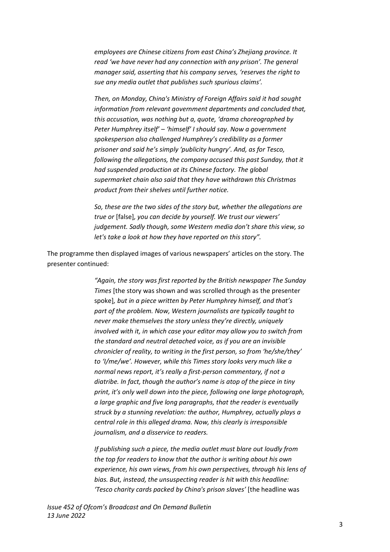*employees are Chinese citizens from east China's Zhejiang province. It read 'we have never had any connection with any prison'. The general manager said, asserting that his company serves, 'reserves the right to sue any media outlet that publishes such spurious claims'.* 

*Then, on Monday, China's Ministry of Foreign Affairs said it had sought information from relevant government departments and concluded that, this accusation, was nothing but a, quote, 'drama choreographed by Peter Humphrey itself' – 'himself' I should say. Now a government spokesperson also challenged Humphrey's credibility as a former prisoner and said he's simply 'publicity hungry'. And, as for Tesco, following the allegations, the company accused this past Sunday, that it had suspended production at its Chinese factory. The global supermarket chain also said that they have withdrawn this Christmas product from their shelves until further notice.* 

*So, these are the two sides of the story but, whether the allegations are true or* [false]*, you can decide by yourself. We trust our viewers' judgement. Sadly though, some Western media don't share this view, so let's take a look at how they have reported on this story".*

The programme then displayed images of various newspapers' articles on the story. The presenter continued:

> *"Again, the story was first reported by the British newspaper The Sunday Times* [the story was shown and was scrolled through as the presenter spoke]*, but in a piece written by Peter Humphrey himself, and that's part of the problem. Now, Western journalists are typically taught to never make themselves the story unless they're directly, uniquely involved with it, in which case your editor may allow you to switch from the standard and neutral detached voice, as if you are an invisible chronicler of reality, to writing in the first person, so from 'he/she/they' to 'I/me/we'. However, while this Times story looks very much like a normal news report, it's really a first-person commentary, if not a diatribe. In fact, though the author's name is atop of the piece in tiny print, it's only well down into the piece, following one large photograph, a large graphic and five long paragraphs, that the reader is eventually struck by a stunning revelation: the author, Humphrey, actually plays a central role in this alleged drama. Now, this clearly is irresponsible journalism, and a disservice to readers.*

> *If publishing such a piece, the media outlet must blare out loudly from the top for readers to know that the author is writing about his own experience, his own views, from his own perspectives, through his lens of bias. But, instead, the unsuspecting reader is hit with this headline: 'Tesco charity cards packed by China's prison slaves'* [the headline was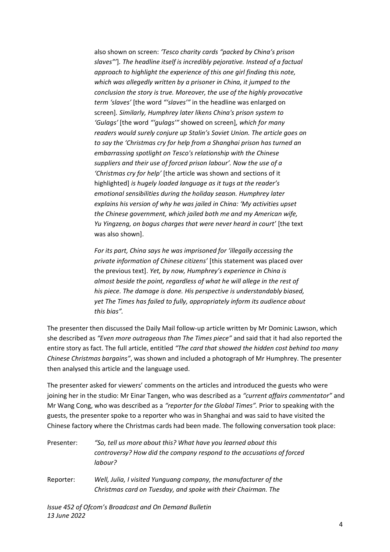also shown on screen: *'Tesco charity cards "packed by China's prison slaves"'*]*. The headline itself is incredibly pejorative. Instead of a factual approach to highlight the experience of this one girl finding this note, which was allegedly written by a prisoner in China, it jumped to the conclusion the story is true. Moreover, the use of the highly provocative term 'slaves'* [the word *"'slaves'"* in the headline was enlarged on screen]*. Similarly, Humphrey later likens China's prison system to 'Gulags'* [the word *"'gulags'"* showed on screen]*, which for many readers would surely conjure up Stalin's Soviet Union. The article goes on to say the 'Christmas cry for help from a Shanghai prison has turned an embarrassing spotlight on Tesco's relationship with the Chinese suppliers and their use of forced prison labour'. Now the use of a 'Christmas cry for help'* [the article was shown and sections of it highlighted] *is hugely loaded language as it tugs at the reader's emotional sensibilities during the holiday season. Humphrey later explains his version of why he was jailed in China: 'My activities upset the Chinese government, which jailed both me and my American wife, Yu Yingzeng, on bogus charges that were never heard in court'* [the text was also shown].

*For its part, China says he was imprisoned for 'illegally accessing the private information of Chinese citizens'* [this statement was placed over the previous text]. *Yet, by now, Humphrey's experience in China is almost beside the point, regardless of what he will allege in the rest of his piece. The damage is done. His perspective is understandably biased, yet The Times has failed to fully, appropriately inform its audience about this bias".* 

The presenter then discussed the Daily Mail follow-up article written by Mr Dominic Lawson, which she described as *"Even more outrageous than The Times piece"* and said that it had also reported the entire story as fact. The full article, entitled *"The card that showed the hidden cost behind too many Chinese Christmas bargains"*, was shown and included a photograph of Mr Humphrey. The presenter then analysed this article and the language used.

The presenter asked for viewers' comments on the articles and introduced the guests who were joining her in the studio: Mr Einar Tangen, who was described as a *"current affairs commentator"* and Mr Wang Cong, who was described as a *"reporter for the Global Times".* Prior to speaking with the guests, the presenter spoke to a reporter who was in Shanghai and was said to have visited the Chinese factory where the Christmas cards had been made. The following conversation took place:

| Presenter: | "So, tell us more about this? What have you learned about this        |
|------------|-----------------------------------------------------------------------|
|            | controversy? How did the company respond to the accusations of forced |
|            | labour?                                                               |

Reporter: *Well, Julia, I visited Yunguang company, the manufacturer of the Christmas card on Tuesday, and spoke with their Chairman. The*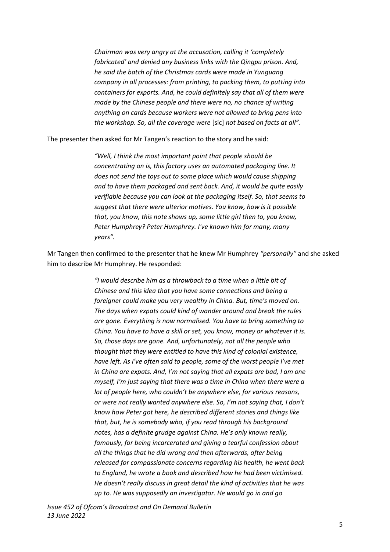*Chairman was very angry at the accusation, calling it 'completely fabricated' and denied any business links with the Qingpu prison. And, he said the batch of the Christmas cards were made in Yunguang company in all processes: from printing, to packing them, to putting into containers for exports. And, he could definitely say that all of them were made by the Chinese people and there were no, no chance of writing anything on cards because workers were not allowed to bring pens into the workshop. So, all the coverage were* [sic] *not based on facts at all".* 

The presenter then asked for Mr Tangen's reaction to the story and he said:

*"Well, I think the most important point that people should be concentrating on is, this factory uses an automated packaging line. It does not send the toys out to some place which would cause shipping and to have them packaged and sent back. And, it would be quite easily verifiable because you can look at the packaging itself. So, that seems to suggest that there were ulterior motives. You know, how is it possible that, you know, this note shows up, some little girl then to, you know, Peter Humphrey? Peter Humphrey. I've known him for many, many years".*

Mr Tangen then confirmed to the presenter that he knew Mr Humphrey *"personally"* and she asked him to describe Mr Humphrey. He responded:

> *"I would describe him as a throwback to a time when a little bit of Chinese and this idea that you have some connections and being a foreigner could make you very wealthy in China. But, time's moved on. The days when expats could kind of wander around and break the rules are gone. Everything is now normalised. You have to bring something to China. You have to have a skill or set, you know, money or whatever it is. So, those days are gone. And, unfortunately, not all the people who thought that they were entitled to have this kind of colonial existence, have left. As I've often said to people, some of the worst people I've met in China are expats. And, I'm not saying that all expats are bad, I am one myself, I'm just saying that there was a time in China when there were a lot of people here, who couldn't be anywhere else, for various reasons, or were not really wanted anywhere else. So, I'm not saying that, I don't know how Peter got here, he described different stories and things like that, but, he is somebody who, if you read through his background notes, has a definite grudge against China. He's only known really, famously, for being incarcerated and giving a tearful confession about all the things that he did wrong and then afterwards, after being released for compassionate concerns regarding his health, he went back to England, he wrote a book and described how he had been victimised. He doesn't really discuss in great detail the kind of activities that he was up to. He was supposedly an investigator. He would go in and go*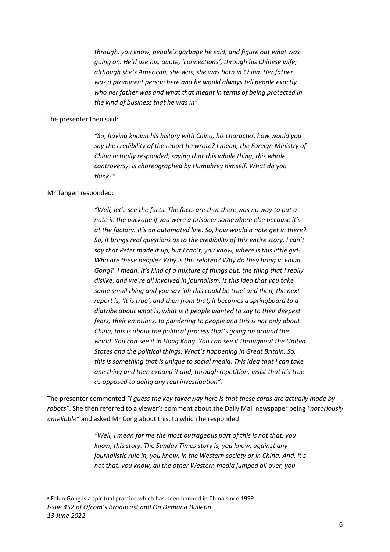*through, you know, people's garbage he said, and figure out what was going on. He'd use his, quote, 'connections', through his Chinese wife; although she's American, she was, she was born in China. Her father was a prominent person here and he would always tell people exactly who her father was and what that meant in terms of being protected in the kind of business that he was in".* 

The presenter then said:

*"So, having known his history with China, his character, how would you say the credibility of the report he wrote? I mean, the Foreign Ministry of China actually responded, saying that this whole thing, this whole controversy, is choreographed by Humphrey himself. What do you think?"* 

#### Mr Tangen responded:

*"Well, let's see the facts. The facts are that there was no way to put a note in the package if you were a prisoner somewhere else because it's at the factory. It's an automated line. So, how would a note get in there? So, it brings real questions as to the credibility of this entire story. I can't say that Peter made it up, but I can't, you know, where is this little girl? Who are these people? Why is this related? Why do they bring in Falun Gong?*<sup>3</sup> *I mean, it's kind of a mixture of things but, the thing that I really dislike, and we're all involved in journalism, is this idea that you take some small thing and you say 'oh this could be true' and then, the next report is, 'it is true', and then from that, it becomes a springboard to a diatribe about what is, what is it people wanted to say to their deepest fears, their emotions, to pandering to people and this is not only about China, this is about the political process that's going on around the world. You can see it in Hong Kong. You can see it throughout the United States and the political things. What's happening in Great Britain. So, this is something that is unique to social media. This idea that I can take one thing and then expand it and, through repetition, insist that it's true as opposed to doing any real investigation".* 

The presenter commented *"I guess the key takeaway here is that these cards are actually made by robots"*. She then referred to a viewer's comment about the Daily Mail newspaper being *"notoriously unreliable"* and asked Mr Cong about this, to which he responded:

> *"Well, I mean for me the most outrageous part of this is not that, you know, this story. The Sunday Times story is, you know, against any journalistic rule in, you know, in the Western society or in China. And, it's not that, you know, all the other Western media jumped all over, you*

*Issue 452 of Ofcom's Broadcast and On Demand Bulletin 13 June 2022* <sup>3</sup> Falun Gong is a spiritual practice which has been banned in China since 1999.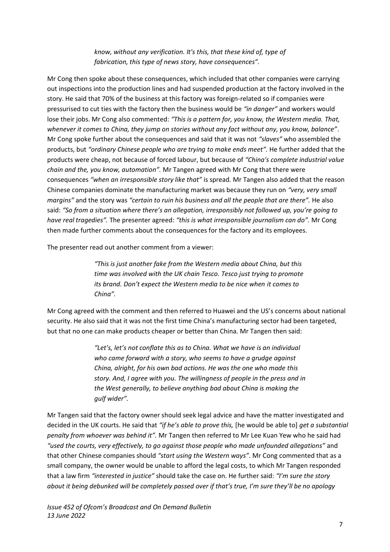*know, without any verification. It's this, that these kind of, type of fabrication, this type of news story, have consequences".*

Mr Cong then spoke about these consequences, which included that other companies were carrying out inspections into the production lines and had suspended production at the factory involved in the story. He said that 70% of the business at this factory was foreign-related so if companies were pressurised to cut ties with the factory then the business would be *"in danger"* and workers would lose their jobs. Mr Cong also commented: *"This is a pattern for, you know, the Western media. That, whenever it comes to China, they jump on stories without any fact without any, you know, balance"*. Mr Cong spoke further about the consequences and said that it was not *"slaves"* who assembled the products, but *"ordinary Chinese people who are trying to make ends meet".* He further added that the products were cheap, not because of forced labour, but because of *"China's complete industrial value chain and the, you know, automation".* Mr Tangen agreed with Mr Cong that there were consequences *"when an irresponsible story like that"* is spread*.* Mr Tangen also added that the reason Chinese companies dominate the manufacturing market was because they run on *"very, very small margins"* and the story was *"certain to ruin his business and all the people that are there".* He also said: *"So from a situation where there's an allegation, irresponsibly not followed up, you're going to have real tragedies".* The presenter agreed: *"this is what irresponsible journalism can do".* Mr Cong then made further comments about the consequences for the factory and its employees.

The presenter read out another comment from a viewer:

*"This is just another fake from the Western media about China, but this time was involved with the UK chain Tesco. Tesco just trying to promote its brand. Don't expect the Western media to be nice when it comes to China".* 

Mr Cong agreed with the comment and then referred to Huawei and the US's concerns about national security. He also said that it was not the first time China's manufacturing sector had been targeted, but that no one can make products cheaper or better than China. Mr Tangen then said:

> *"Let's, let's not conflate this as to China. What we have is an individual who came forward with a story, who seems to have a grudge against China, alright, for his own bad actions. He was the one who made this story. And, I agree with you. The willingness of people in the press and in the West generally, to believe anything bad about China is making the gulf wider".*

Mr Tangen said that the factory owner should seek legal advice and have the matter investigated and decided in the UK courts. He said that *"if he's able to prove this,* [he would be able to] *get a substantial penalty from whoever was behind it".* Mr Tangen then referred to Mr Lee Kuan Yew who he said had *"used the courts, very effectively, to go against those people who made unfounded allegations"* and that other Chinese companies should *"start using the Western ways"*. Mr Cong commented that as a small company, the owner would be unable to afford the legal costs, to which Mr Tangen responded that a law firm *"interested in justice"* should take the case on. He further said: *"I'm sure the story about it being debunked will be completely passed over if that's true, I'm sure they'll be no apology*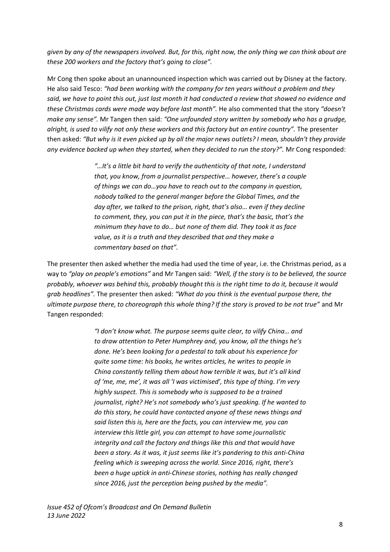*given by any of the newspapers involved. But, for this, right now, the only thing we can think about are these 200 workers and the factory that's going to close".* 

Mr Cong then spoke about an unannounced inspection which was carried out by Disney at the factory. He also said Tesco: *"had been working with the company for ten years without a problem and they said, we have to point this out, just last month it had conducted a review that showed no evidence and these Christmas cards were made way before last month".* He also commented that the story *"doesn't make any sense".* Mr Tangen then said: *"One unfounded story written by somebody who has a grudge, alright, is used to vilify not only these workers and this factory but an entire country".* The presenter then asked: *"But why is it even picked up by all the major news outlets? I mean, shouldn't they provide any evidence backed up when they started, when they decided to run the story?".* Mr Cong responded:

> *"…It's a little bit hard to verify the authenticity of that note, I understand that, you know, from a journalist perspective… however, there's a couple of things we can do…you have to reach out to the company in question, nobody talked to the general manger before the Global Times, and the day after, we talked to the prison, right, that's also… even if they decline to comment, they, you can put it in the piece, that's the basic, that's the minimum they have to do… but none of them did. They took it as face value, as it is a truth and they described that and they make a commentary based on that".*

The presenter then asked whether the media had used the time of year, i.e. the Christmas period, as a way to *"play on people's emotions"* and Mr Tangen said: *"Well, if the story is to be believed, the source probably, whoever was behind this, probably thought this is the right time to do it, because it would grab headlines".* The presenter then asked: *"What do you think is the eventual purpose there, the ultimate purpose there, to choreograph this whole thing? If the story is proved to be not true"* and Mr Tangen responded:

> *"I don't know what. The purpose seems quite clear, to vilify China… and to draw attention to Peter Humphrey and, you know, all the things he's done. He's been looking for a pedestal to talk about his experience for quite some time: his books, he writes articles, he writes to people in China constantly telling them about how terrible it was, but it's all kind of 'me, me, me', it was all 'I was victimised', this type of thing. I'm very highly suspect. This is somebody who is supposed to be a trained journalist, right? He's not somebody who's just speaking. If he wanted to do this story, he could have contacted anyone of these news things and said listen this is, here are the facts, you can interview me, you can interview this little girl, you can attempt to have some journalistic integrity and call the factory and things like this and that would have been a story. As it was, it just seems like it's pandering to this anti-China feeling which is sweeping across the world. Since 2016, right, there's been a huge uptick in anti-Chinese stories, nothing has really changed since 2016, just the perception being pushed by the media".*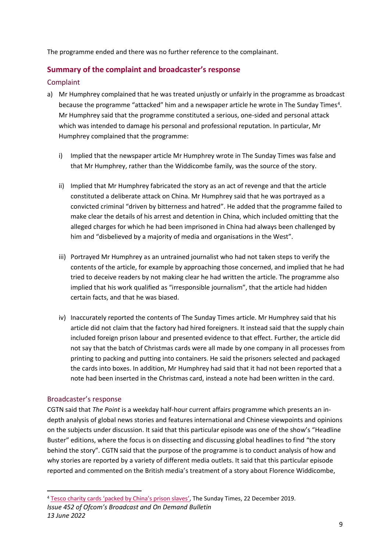The programme ended and there was no further reference to the complainant.

### **Summary of the complaint and broadcaster's response**

#### Complaint

- a) Mr Humphrey complained that he was treated unjustly or unfairly in the programme as broadcast because the programme "attacked" him and a newspaper article he wrote in The Sunday Times<sup>4</sup>. Mr Humphrey said that the programme constituted a serious, one-sided and personal attack which was intended to damage his personal and professional reputation. In particular, Mr Humphrey complained that the programme:
	- i) Implied that the newspaper article Mr Humphrey wrote in The Sunday Times was false and that Mr Humphrey, rather than the Widdicombe family, was the source of the story.
	- ii) Implied that Mr Humphrey fabricated the story as an act of revenge and that the article constituted a deliberate attack on China. Mr Humphrey said that he was portrayed as a convicted criminal "driven by bitterness and hatred". He added that the programme failed to make clear the details of his arrest and detention in China, which included omitting that the alleged charges for which he had been imprisoned in China had always been challenged by him and "disbelieved by a majority of media and organisations in the West".
	- iii) Portrayed Mr Humphrey as an untrained journalist who had not taken steps to verify the contents of the article, for example by approaching those concerned, and implied that he had tried to deceive readers by not making clear he had written the article. The programme also implied that his work qualified as "irresponsible journalism", that the article had hidden certain facts, and that he was biased.
	- iv) Inaccurately reported the contents of The Sunday Times article. Mr Humphrey said that his article did not claim that the factory had hired foreigners. It instead said that the supply chain included foreign prison labour and presented evidence to that effect. Further, the article did not say that the batch of Christmas cards were all made by one company in all processes from printing to packing and putting into containers. He said the prisoners selected and packaged the cards into boxes. In addition, Mr Humphrey had said that it had not been reported that a note had been inserted in the Christmas card, instead a note had been written in the card.

#### Broadcaster's response

CGTN said that *The Point* is a weekday half-hour current affairs programme which presents an indepth analysis of global news stories and features international and Chinese viewpoints and opinions on the subjects under discussion. It said that this particular episode was one of the show's "Headline Buster" editions, where the focus is on dissecting and discussing global headlines to find "the story behind the story". CGTN said that the purpose of the programme is to conduct analysis of how and why stories are reported by a variety of different media outlets. It said that this particular episode reported and commented on the British media's treatment of a story about Florence Widdicombe,

<sup>4</sup> [Tesco charity cards 'packed by China's prison slaves'](https://www.thetimes.co.uk/article/tesco-charity-cards-packed-by-chinas-prison-slaves-v9psp9fqx), The Sunday Times, 22 December 2019.

*Issue 452 of Ofcom's Broadcast and On Demand Bulletin 13 June 2022*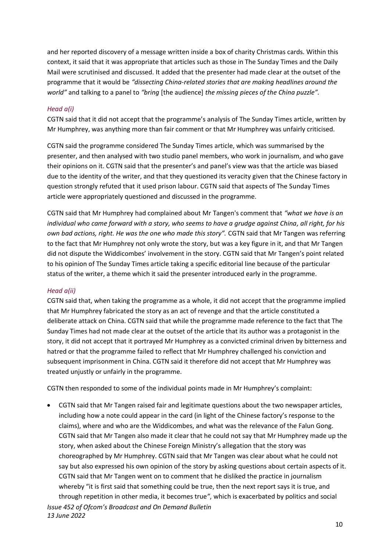and her reported discovery of a message written inside a box of charity Christmas cards. Within this context, it said that it was appropriate that articles such as those in The Sunday Times and the Daily Mail were scrutinised and discussed. It added that the presenter had made clear at the outset of the programme that it would be *"dissecting China-related stories that are making headlines around the world"* and talking to a panel to *"bring* [the audience] *the missing pieces of the China puzzle".* 

#### *Head a(i)*

CGTN said that it did not accept that the programme's analysis of The Sunday Times article, written by Mr Humphrey, was anything more than fair comment or that Mr Humphrey was unfairly criticised.

CGTN said the programme considered The Sunday Times article, which was summarised by the presenter, and then analysed with two studio panel members, who work in journalism, and who gave their opinions on it. CGTN said that the presenter's and panel's view was that the article was biased due to the identity of the writer, and that they questioned its veracity given that the Chinese factory in question strongly refuted that it used prison labour. CGTN said that aspects of The Sunday Times article were appropriately questioned and discussed in the programme.

CGTN said that Mr Humphrey had complained about Mr Tangen's comment that *"what we have is an individual who came forward with a story, who seems to have a grudge against China, all right, for his own bad actions, right. He was the one who made this story".* CGTN said that Mr Tangen was referring to the fact that Mr Humphrey not only wrote the story, but was a key figure in it, and that Mr Tangen did not dispute the Widdicombes' involvement in the story. CGTN said that Mr Tangen's point related to his opinion of The Sunday Times article taking a specific editorial line because of the particular status of the writer, a theme which it said the presenter introduced early in the programme.

#### *Head a(ii)*

CGTN said that, when taking the programme as a whole, it did not accept that the programme implied that Mr Humphrey fabricated the story as an act of revenge and that the article constituted a deliberate attack on China. CGTN said that while the programme made reference to the fact that The Sunday Times had not made clear at the outset of the article that its author was a protagonist in the story, it did not accept that it portrayed Mr Humphrey as a convicted criminal driven by bitterness and hatred or that the programme failed to reflect that Mr Humphrey challenged his conviction and subsequent imprisonment in China. CGTN said it therefore did not accept that Mr Humphrey was treated unjustly or unfairly in the programme.

CGTN then responded to some of the individual points made in Mr Humphrey's complaint:

• CGTN said that Mr Tangen raised fair and legitimate questions about the two newspaper articles, including how a note could appear in the card (in light of the Chinese factory's response to the claims), where and who are the Widdicombes, and what was the relevance of the Falun Gong. CGTN said that Mr Tangen also made it clear that he could not say that Mr Humphrey made up the story, when asked about the Chinese Foreign Ministry's allegation that the story was choreographed by Mr Humphrey. CGTN said that Mr Tangen was clear about what he could not say but also expressed his own opinion of the story by asking questions about certain aspects of it. CGTN said that Mr Tangen went on to comment that he disliked the practice in journalism whereby "it is first said that something could be true, then the next report says it is true, and through repetition in other media, it becomes true*"*, which is exacerbated by politics and social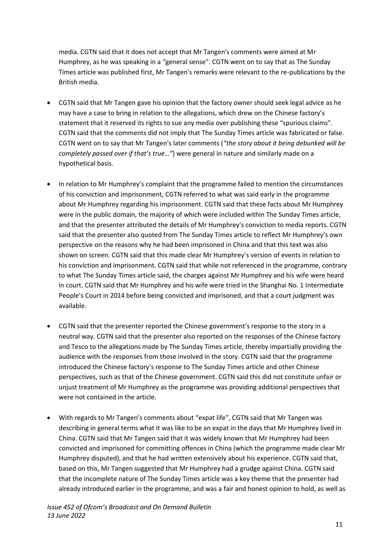media. CGTN said that it does not accept that Mr Tangen's comments were aimed at Mr Humphrey, as he was speaking in a "general sense". CGTN went on to say that as The Sunday Times article was published first, Mr Tangen's remarks were relevant to the re-publications by the British media.

- CGTN said that Mr Tangen gave his opinion that the factory owner should seek legal advice as he may have a case to bring in relation to the allegations, which drew on the Chinese factory's statement that it reserved its rights to sue any media over publishing these "spurious claims". CGTN said that the comments did not imply that The Sunday Times article was fabricated or false. CGTN went on to say that Mr Tangen's later comments (*"the story about it being debunked will be completely passed over if that's true…"*) were general in nature and similarly made on a hypothetical basis.
- In relation to Mr Humphrey's complaint that the programme failed to mention the circumstances of his conviction and imprisonment, CGTN referred to what was said early in the programme about Mr Humphrey regarding his imprisonment. CGTN said that these facts about Mr Humphrey were in the public domain, the majority of which were included within The Sunday Times article, and that the presenter attributed the details of Mr Humphrey's conviction to media reports. CGTN said that the presenter also quoted from The Sunday Times article to reflect Mr Humphrey's own perspective on the reasons why he had been imprisoned in China and that this text was also shown on screen. CGTN said that this made clear Mr Humphrey's version of events in relation to his conviction and imprisonment. CGTN said that while not referenced in the programme, contrary to what The Sunday Times article said, the charges against Mr Humphrey and his wife were heard in court. CGTN said that Mr Humphrey and his wife were tried in the Shanghai No. 1 Intermediate People's Court in 2014 before being convicted and imprisoned, and that a court judgment was available.
- CGTN said that the presenter reported the Chinese government's response to the story in a neutral way. CGTN said that the presenter also reported on the responses of the Chinese factory and Tesco to the allegations made by The Sunday Times article, thereby impartially providing the audience with the responses from those involved in the story. CGTN said that the programme introduced the Chinese factory's response to The Sunday Times article and other Chinese perspectives, such as that of the Chinese government. CGTN said this did not constitute unfair or unjust treatment of Mr Humphrey as the programme was providing additional perspectives that were not contained in the article.
- With regards to Mr Tangen's comments about "expat life", CGTN said that Mr Tangen was describing in general terms what it was like to be an expat in the days that Mr Humphrey lived in China. CGTN said that Mr Tangen said that it was widely known that Mr Humphrey had been convicted and imprisoned for committing offences in China (which the programme made clear Mr Humphrey disputed), and that he had written extensively about his experience. CGTN said that, based on this, Mr Tangen suggested that Mr Humphrey had a grudge against China. CGTN said that the incomplete nature of The Sunday Times article was a key theme that the presenter had already introduced earlier in the programme, and was a fair and honest opinion to hold, as well as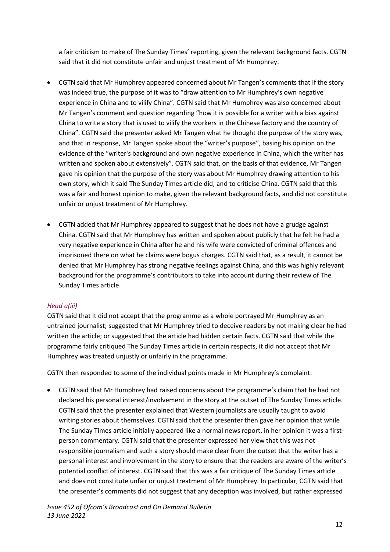a fair criticism to make of The Sunday Times' reporting, given the relevant background facts. CGTN said that it did not constitute unfair and unjust treatment of Mr Humphrey.

- CGTN said that Mr Humphrey appeared concerned about Mr Tangen's comments that if the story was indeed true, the purpose of it was to "draw attention to Mr Humphrey's own negative experience in China and to vilify China". CGTN said that Mr Humphrey was also concerned about Mr Tangen's comment and question regarding "how it is possible for a writer with a bias against China to write a story that is used to vilify the workers in the Chinese factory and the country of China". CGTN said the presenter asked Mr Tangen what he thought the purpose of the story was, and that in response, Mr Tangen spoke about the "writer's purpose", basing his opinion on the evidence of the "writer's background and own negative experience in China, which the writer has written and spoken about extensively". CGTN said that, on the basis of that evidence, Mr Tangen gave his opinion that the purpose of the story was about Mr Humphrey drawing attention to his own story, which it said The Sunday Times article did, and to criticise China. CGTN said that this was a fair and honest opinion to make, given the relevant background facts, and did not constitute unfair or unjust treatment of Mr Humphrey.
- CGTN added that Mr Humphrey appeared to suggest that he does not have a grudge against China. CGTN said that Mr Humphrey has written and spoken about publicly that he felt he had a very negative experience in China after he and his wife were convicted of criminal offences and imprisoned there on what he claims were bogus charges. CGTN said that, as a result, it cannot be denied that Mr Humphrey has strong negative feelings against China, and this was highly relevant background for the programme's contributors to take into account during their review of The Sunday Times article.

#### *Head a(iii)*

CGTN said that it did not accept that the programme as a whole portrayed Mr Humphrey as an untrained journalist; suggested that Mr Humphrey tried to deceive readers by not making clear he had written the article; or suggested that the article had hidden certain facts. CGTN said that while the programme fairly critiqued The Sunday Times article in certain respects, it did not accept that Mr Humphrey was treated unjustly or unfairly in the programme.

CGTN then responded to some of the individual points made in Mr Humphrey's complaint:

• CGTN said that Mr Humphrey had raised concerns about the programme's claim that he had not declared his personal interest/involvement in the story at the outset of The Sunday Times article. CGTN said that the presenter explained that Western journalists are usually taught to avoid writing stories about themselves. CGTN said that the presenter then gave her opinion that while The Sunday Times article initially appeared like a normal news report, in her opinion it was a firstperson commentary. CGTN said that the presenter expressed her view that this was not responsible journalism and such a story should make clear from the outset that the writer has a personal interest and involvement in the story to ensure that the readers are aware of the writer's potential conflict of interest. CGTN said that this was a fair critique of The Sunday Times article and does not constitute unfair or unjust treatment of Mr Humphrey. In particular, CGTN said that the presenter's comments did not suggest that any deception was involved, but rather expressed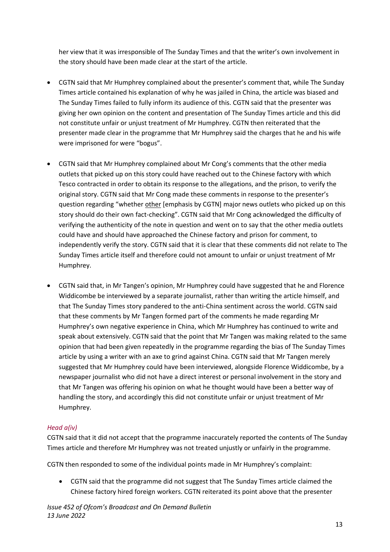her view that it was irresponsible of The Sunday Times and that the writer's own involvement in the story should have been made clear at the start of the article.

- CGTN said that Mr Humphrey complained about the presenter's comment that, while The Sunday Times article contained his explanation of why he was jailed in China, the article was biased and The Sunday Times failed to fully inform its audience of this. CGTN said that the presenter was giving her own opinion on the content and presentation of The Sunday Times article and this did not constitute unfair or unjust treatment of Mr Humphrey. CGTN then reiterated that the presenter made clear in the programme that Mr Humphrey said the charges that he and his wife were imprisoned for were "bogus".
- CGTN said that Mr Humphrey complained about Mr Cong's comments that the other media outlets that picked up on this story could have reached out to the Chinese factory with which Tesco contracted in order to obtain its response to the allegations, and the prison, to verify the original story. CGTN said that Mr Cong made these comments in response to the presenter's question regarding "whether other [emphasis by CGTN] major news outlets who picked up on this story should do their own fact-checking". CGTN said that Mr Cong acknowledged the difficulty of verifying the authenticity of the note in question and went on to say that the other media outlets could have and should have approached the Chinese factory and prison for comment, to independently verify the story. CGTN said that it is clear that these comments did not relate to The Sunday Times article itself and therefore could not amount to unfair or unjust treatment of Mr Humphrey.
- CGTN said that, in Mr Tangen's opinion, Mr Humphrey could have suggested that he and Florence Widdicombe be interviewed by a separate journalist, rather than writing the article himself, and that The Sunday Times story pandered to the anti-China sentiment across the world. CGTN said that these comments by Mr Tangen formed part of the comments he made regarding Mr Humphrey's own negative experience in China, which Mr Humphrey has continued to write and speak about extensively. CGTN said that the point that Mr Tangen was making related to the same opinion that had been given repeatedly in the programme regarding the bias of The Sunday Times article by using a writer with an axe to grind against China. CGTN said that Mr Tangen merely suggested that Mr Humphrey could have been interviewed, alongside Florence Widdicombe, by a newspaper journalist who did not have a direct interest or personal involvement in the story and that Mr Tangen was offering his opinion on what he thought would have been a better way of handling the story, and accordingly this did not constitute unfair or unjust treatment of Mr Humphrey.

#### *Head a(iv)*

CGTN said that it did not accept that the programme inaccurately reported the contents of The Sunday Times article and therefore Mr Humphrey was not treated unjustly or unfairly in the programme.

CGTN then responded to some of the individual points made in Mr Humphrey's complaint:

• CGTN said that the programme did not suggest that The Sunday Times article claimed the Chinese factory hired foreign workers. CGTN reiterated its point above that the presenter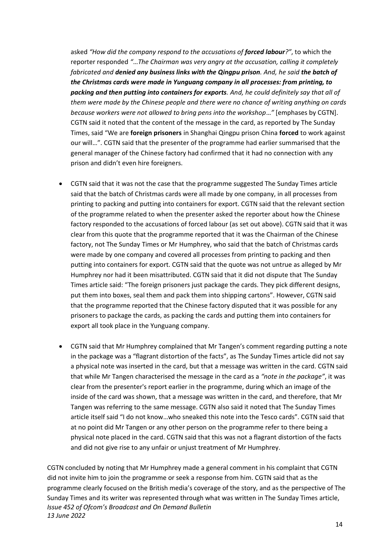asked *"How did the company respond to the accusations of forced labour?"*, to which the reporter responded *"*…*The Chairman was very angry at the accusation, calling it completely fabricated and denied any business links with the Qingpu prison. And, he said the batch of the Christmas cards were made in Yunguang company in all processes: from printing, to packing and then putting into containers for exports. And, he could definitely say that all of them were made by the Chinese people and there were no chance of writing anything on cards because workers were not allowed to bring pens into the workshop*…*"* [emphases by CGTN]. CGTN said it noted that the content of the message in the card, as reported by The Sunday Times, said "We are **foreign prisoners** in Shanghai Qingpu prison China **forced** to work against our will…". CGTN said that the presenter of the programme had earlier summarised that the general manager of the Chinese factory had confirmed that it had no connection with any prison and didn't even hire foreigners.

- CGTN said that it was not the case that the programme suggested The Sunday Times article said that the batch of Christmas cards were all made by one company, in all processes from printing to packing and putting into containers for export. CGTN said that the relevant section of the programme related to when the presenter asked the reporter about how the Chinese factory responded to the accusations of forced labour (as set out above). CGTN said that it was clear from this quote that the programme reported that it was the Chairman of the Chinese factory, not The Sunday Times or Mr Humphrey, who said that the batch of Christmas cards were made by one company and covered all processes from printing to packing and then putting into containers for export. CGTN said that the quote was not untrue as alleged by Mr Humphrey nor had it been misattributed. CGTN said that it did not dispute that The Sunday Times article said: "The foreign prisoners just package the cards. They pick different designs, put them into boxes, seal them and pack them into shipping cartons". However, CGTN said that the programme reported that the Chinese factory disputed that it was possible for any prisoners to package the cards, as packing the cards and putting them into containers for export all took place in the Yunguang company.
- CGTN said that Mr Humphrey complained that Mr Tangen's comment regarding putting a note in the package was a "flagrant distortion of the facts", as The Sunday Times article did not say a physical note was inserted in the card, but that a message was written in the card. CGTN said that while Mr Tangen characterised the message in the card as a *"note in the package"*, it was clear from the presenter's report earlier in the programme, during which an image of the inside of the card was shown, that a message was written in the card, and therefore, that Mr Tangen was referring to the same message. CGTN also said it noted that The Sunday Times article itself said "I do not know...who sneaked this note into the Tesco cards". CGTN said that at no point did Mr Tangen or any other person on the programme refer to there being a physical note placed in the card. CGTN said that this was not a flagrant distortion of the facts and did not give rise to any unfair or unjust treatment of Mr Humphrey.

*Issue 452 of Ofcom's Broadcast and On Demand Bulletin 13 June 2022* CGTN concluded by noting that Mr Humphrey made a general comment in his complaint that CGTN did not invite him to join the programme or seek a response from him. CGTN said that as the programme clearly focused on the British media's coverage of the story, and as the perspective of The Sunday Times and its writer was represented through what was written in The Sunday Times article,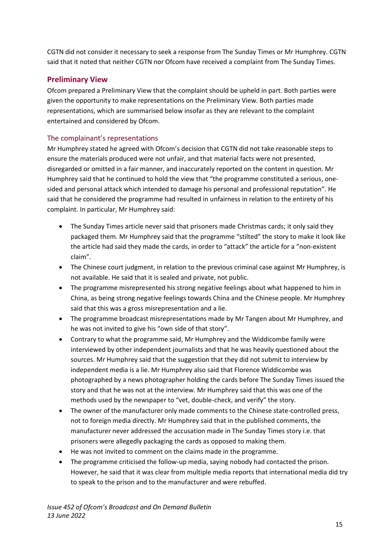CGTN did not consider it necessary to seek a response from The Sunday Times or Mr Humphrey. CGTN said that it noted that neither CGTN nor Ofcom have received a complaint from The Sunday Times.

# **Preliminary View**

Ofcom prepared a Preliminary View that the complaint should be upheld in part. Both parties were given the opportunity to make representations on the Preliminary View. Both parties made representations, which are summarised below insofar as they are relevant to the complaint entertained and considered by Ofcom.

# The complainant's representations

Mr Humphrey stated he agreed with Ofcom's decision that CGTN did not take reasonable steps to ensure the materials produced were not unfair, and that material facts were not presented, disregarded or omitted in a fair manner, and inaccurately reported on the content in question. Mr Humphrey said that he continued to hold the view that "the programme constituted a serious, onesided and personal attack which intended to damage his personal and professional reputation". He said that he considered the programme had resulted in unfairness in relation to the entirety of his complaint. In particular, Mr Humphrey said:

- The Sunday Times article never said that prisoners made Christmas cards; it only said they packaged them. Mr Humphrey said that the programme "stilted" the story to make it look like the article had said they made the cards, in order to "attack" the article for a "non-existent claim".
- The Chinese court judgment, in relation to the previous criminal case against Mr Humphrey, is not available. He said that it is sealed and private, not public.
- The programme misrepresented his strong negative feelings about what happened to him in China, as being strong negative feelings towards China and the Chinese people. Mr Humphrey said that this was a gross misrepresentation and a lie.
- The programme broadcast misrepresentations made by Mr Tangen about Mr Humphrey, and he was not invited to give his "own side of that story".
- Contrary to what the programme said, Mr Humphrey and the Widdicombe family were interviewed by other independent journalists and that he was heavily questioned about the sources. Mr Humphrey said that the suggestion that they did not submit to interview by independent media is a lie. Mr Humphrey also said that Florence Widdicombe was photographed by a news photographer holding the cards before The Sunday Times issued the story and that he was not at the interview. Mr Humphrey said that this was one of the methods used by the newspaper to "vet, double-check, and verify" the story.
- The owner of the manufacturer only made comments to the Chinese state-controlled press, not to foreign media directly. Mr Humphrey said that in the published comments, the manufacturer never addressed the accusation made in The Sunday Times story i.e. that prisoners were allegedly packaging the cards as opposed to making them.
- He was not invited to comment on the claims made in the programme.
- The programme criticised the follow-up media, saying nobody had contacted the prison. However, he said that it was clear from multiple media reports that international media did try to speak to the prison and to the manufacturer and were rebuffed.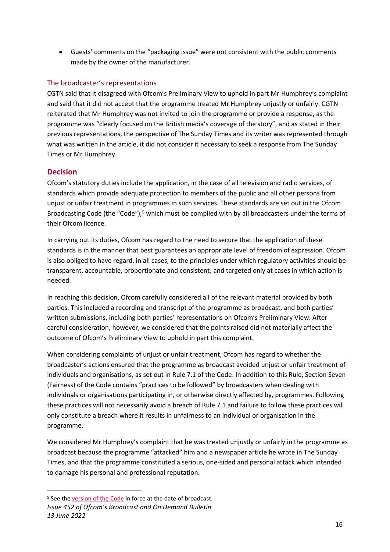• Guests' comments on the "packaging issue" were not consistent with the public comments made by the owner of the manufacturer.

# The broadcaster's representations

CGTN said that it disagreed with Ofcom's Preliminary View to uphold in part Mr Humphrey's complaint and said that it did not accept that the programme treated Mr Humphrey unjustly or unfairly. CGTN reiterated that Mr Humphrey was not invited to join the programme or provide a response, as the programme was "clearly focused on the British media's coverage of the story", and as stated in their previous representations, the perspective of The Sunday Times and its writer was represented through what was written in the article, it did not consider it necessary to seek a response from The Sunday Times or Mr Humphrey.

# **Decision**

Ofcom's statutory duties include the application, in the case of all television and radio services, of standards which provide adequate protection to members of the public and all other persons from unjust or unfair treatment in programmes in such services. These standards are set out in the Ofcom Broadcasting Code (the "Code"), $5$  which must be complied with by all broadcasters under the terms of their Ofcom licence.

In carrying out its duties, Ofcom has regard to the need to secure that the application of these standards is in the manner that best guarantees an appropriate level of freedom of expression. Ofcom is also obliged to have regard, in all cases, to the principles under which regulatory activities should be transparent, accountable, proportionate and consistent, and targeted only at cases in which action is needed.

In reaching this decision, Ofcom carefully considered all of the relevant material provided by both parties. This included a recording and transcript of the programme as broadcast, and both parties' written submissions, including both parties' representations on Ofcom's Preliminary View. After careful consideration, however, we considered that the points raised did not materially affect the outcome of Ofcom's Preliminary View to uphold in part this complaint.

When considering complaints of unjust or unfair treatment, Ofcom has regard to whether the broadcaster's actions ensured that the programme as broadcast avoided unjust or unfair treatment of individuals and organisations, as set out in Rule 7.1 of the Code. In addition to this Rule, Section Seven (Fairness) of the Code contains "practices to be followed" by broadcasters when dealing with individuals or organisations participating in, or otherwise directly affected by, programmes. Following these practices will not necessarily avoid a breach of Rule 7.1 and failure to follow these practices will only constitute a breach where it results in unfairness to an individual or organisation in the programme.

We considered Mr Humphrey's complaint that he was treated unjustly or unfairly in the programme as broadcast because the programme "attacked" him and a newspaper article he wrote in The Sunday Times, and that the programme constituted a serious, one-sided and personal attack which intended to damage his personal and professional reputation.

<sup>&</sup>lt;sup>5</sup> See the [version of the Code](https://www.ofcom.org.uk/__data/assets/pdf_file/0016/132073/Broadcast-Code-Full.pdf) in force at the date of broadcast.

*Issue 452 of Ofcom's Broadcast and On Demand Bulletin 13 June 2022*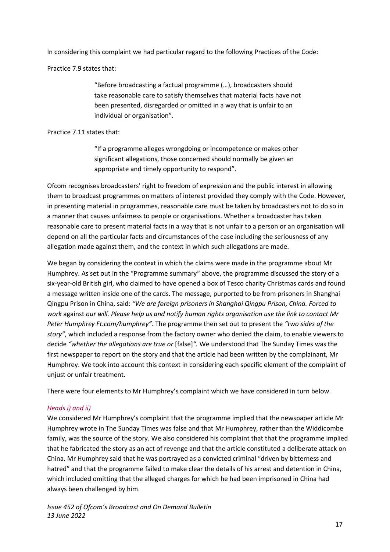In considering this complaint we had particular regard to the following Practices of the Code:

Practice 7.9 states that:

"Before broadcasting a factual programme (…), broadcasters should take reasonable care to satisfy themselves that material facts have not been presented, disregarded or omitted in a way that is unfair to an individual or organisation".

#### Practice 7.11 states that:

"If a programme alleges wrongdoing or incompetence or makes other significant allegations, those concerned should normally be given an appropriate and timely opportunity to respond".

Ofcom recognises broadcasters' right to freedom of expression and the public interest in allowing them to broadcast programmes on matters of interest provided they comply with the Code. However, in presenting material in programmes, reasonable care must be taken by broadcasters not to do so in a manner that causes unfairness to people or organisations. Whether a broadcaster has taken reasonable care to present material facts in a way that is not unfair to a person or an organisation will depend on all the particular facts and circumstances of the case including the seriousness of any allegation made against them, and the context in which such allegations are made.

We began by considering the context in which the claims were made in the programme about Mr Humphrey. As set out in the "Programme summary" above, the programme discussed the story of a six-year-old British girl, who claimed to have opened a box of Tesco charity Christmas cards and found a message written inside one of the cards. The message, purported to be from prisoners in Shanghai Qingpu Prison in China, said: *"We are foreign prisoners in Shanghai Qingpu Prison, China. Forced to work* against *our will. Please help us and notify human rights organisation use the link to contact Mr Peter Humphrey Ft.com/humphrey"*. The programme then set out to present the *"two sides of the story"*, which included a response from the factory owner who denied the claim, to enable viewers to decide *"whether the allegations are true or* [false]*".* We understood that The Sunday Times was the first newspaper to report on the story and that the article had been written by the complainant, Mr Humphrey. We took into account this context in considering each specific element of the complaint of unjust or unfair treatment.

There were four elements to Mr Humphrey's complaint which we have considered in turn below.

#### *Heads i) and ii)*

We considered Mr Humphrey's complaint that the programme implied that the newspaper article Mr Humphrey wrote in The Sunday Times was false and that Mr Humphrey, rather than the Widdicombe family, was the source of the story. We also considered his complaint that that the programme implied that he fabricated the story as an act of revenge and that the article constituted a deliberate attack on China. Mr Humphrey said that he was portrayed as a convicted criminal "driven by bitterness and hatred" and that the programme failed to make clear the details of his arrest and detention in China, which included omitting that the alleged charges for which he had been imprisoned in China had always been challenged by him.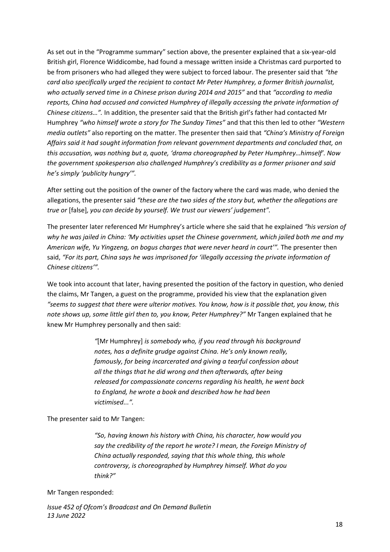As set out in the "Programme summary" section above, the presenter explained that a six-year-old British girl, Florence Widdicombe, had found a message written inside a Christmas card purported to be from prisoners who had alleged they were subject to forced labour. The presenter said that *"the card also specifically urged the recipient to contact Mr Peter Humphrey, a former British journalist, who actually served time in a Chinese prison during 2014 and 2015"* and that *"according to media reports, China had accused and convicted Humphrey of illegally accessing the private information of Chinese citizens…".* In addition, the presenter said that the British girl's father had contacted Mr Humphrey *"who himself wrote a story for The Sunday Times"* and that this then led to other *"Western media outlets"* also reporting on the matter. The presenter then said that *"China's Ministry of Foreign Affairs said it had sought information from relevant government departments and concluded that, on this accusation, was nothing but a, quote, 'drama choreographed by Peter Humphrey…himself'. Now the government spokesperson also challenged Humphrey's credibility as a former prisoner and said he's simply 'publicity hungry'".* 

After setting out the position of the owner of the factory where the card was made, who denied the allegations, the presenter said *"these are the two sides of the story but, whether the allegations are true or* [false]*, you can decide by yourself. We trust our viewers' judgement".*

The presenter later referenced Mr Humphrey's article where she said that he explained *"his version of why he was jailed in China: 'My activities upset the Chinese government, which jailed both me and my American wife, Yu Yingzeng, on bogus charges that were never heard in court'".* The presenter then said, *"For its part, China says he was imprisoned for 'illegally accessing the private information of Chinese citizens'".* 

We took into account that later, having presented the position of the factory in question, who denied the claims, Mr Tangen, a guest on the programme, provided his view that the explanation given *"seems to suggest that there were ulterior motives. You know, how is it possible that, you know, this note shows up, some little girl then to, you know, Peter Humphrey?"* Mr Tangen explained that he knew Mr Humphrey personally and then said:

> *"*[Mr Humphrey] *is somebody who, if you read through his background notes, has a definite grudge against China. He's only known really, famously, for being incarcerated and giving a tearful confession about all the things that he did wrong and then afterwards, after being released for compassionate concerns regarding his health, he went back to England, he wrote a book and described how he had been victimised...".*

The presenter said to Mr Tangen:

*"So, having known his history with China, his character, how would you say the credibility of the report he wrote? I mean, the Foreign Ministry of China actually responded, saying that this whole thing, this whole controversy, is choreographed by Humphrey himself. What do you think?"* 

#### Mr Tangen responded: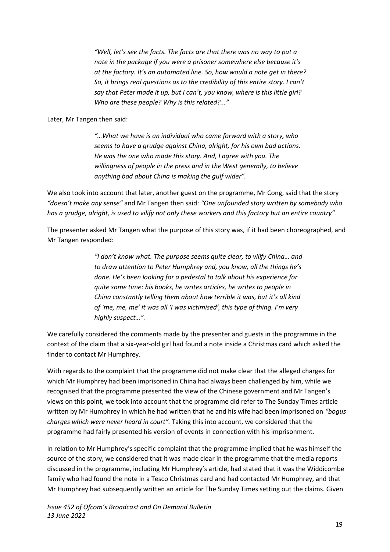*"Well, let's see the facts. The facts are that there was no way to put a note in the package if you were a prisoner somewhere else because it's at the factory. It's an automated line. So, how would a note get in there? So, it brings real questions as to the credibility of this entire story. I can't say that Peter made it up, but I can't, you know, where is this little girl? Who are these people? Why is this related?..."*

Later, Mr Tangen then said:

*"…What we have is an individual who came forward with a story, who seems to have a grudge against China, alright, for his own bad actions. He was the one who made this story. And, I agree with you. The willingness of people in the press and in the West generally, to believe anything bad about China is making the gulf wider".* 

We also took into account that later, another guest on the programme, Mr Cong, said that the story *"doesn't make any sense"* and Mr Tangen then said: *"One unfounded story written by somebody who has a grudge, alright, is used to vilify not only these workers and this factory but an entire country"*.

The presenter asked Mr Tangen what the purpose of this story was, if it had been choreographed, and Mr Tangen responded:

> *"I don't know what. The purpose seems quite clear, to vilify China… and to draw attention to Peter Humphrey and, you know, all the things he's done. He's been looking for a pedestal to talk about his experience for quite some time: his books, he writes articles, he writes to people in China constantly telling them about how terrible it was, but it's all kind of 'me, me, me' it was all 'I was victimised', this type of thing. I'm very highly suspect…".*

We carefully considered the comments made by the presenter and guests in the programme in the context of the claim that a six-year-old girl had found a note inside a Christmas card which asked the finder to contact Mr Humphrey.

With regards to the complaint that the programme did not make clear that the alleged charges for which Mr Humphrey had been imprisoned in China had always been challenged by him, while we recognised that the programme presented the view of the Chinese government and Mr Tangen's views on this point, we took into account that the programme did refer to The Sunday Times article written by Mr Humphrey in which he had written that he and his wife had been imprisoned on *"bogus charges which were never heard in court".* Taking this into account, we considered that the programme had fairly presented his version of events in connection with his imprisonment.

In relation to Mr Humphrey's specific complaint that the programme implied that he was himself the source of the story, we considered that it was made clear in the programme that the media reports discussed in the programme, including Mr Humphrey's article, had stated that it was the Widdicombe family who had found the note in a Tesco Christmas card and had contacted Mr Humphrey, and that Mr Humphrey had subsequently written an article for The Sunday Times setting out the claims. Given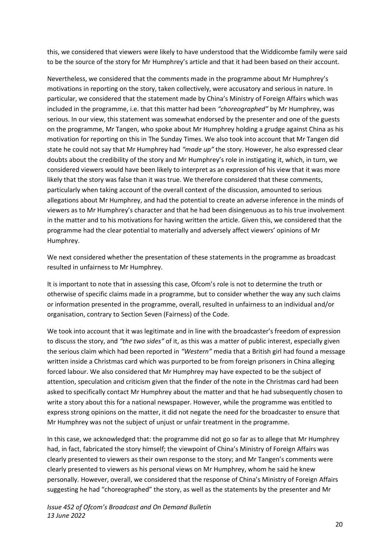this, we considered that viewers were likely to have understood that the Widdicombe family were said to be the source of the story for Mr Humphrey's article and that it had been based on their account.

Nevertheless, we considered that the comments made in the programme about Mr Humphrey's motivations in reporting on the story, taken collectively, were accusatory and serious in nature. In particular, we considered that the statement made by China's Ministry of Foreign Affairs which was included in the programme, i.e. that this matter had been *"choreographed"* by Mr Humphrey, was serious. In our view, this statement was somewhat endorsed by the presenter and one of the guests on the programme, Mr Tangen, who spoke about Mr Humphrey holding a grudge against China as his motivation for reporting on this in The Sunday Times. We also took into account that Mr Tangen did state he could not say that Mr Humphrey had *"made up"* the story. However, he also expressed clear doubts about the credibility of the story and Mr Humphrey's role in instigating it, which, in turn, we considered viewers would have been likely to interpret as an expression of his view that it was more likely that the story was false than it was true. We therefore considered that these comments, particularly when taking account of the overall context of the discussion, amounted to serious allegations about Mr Humphrey, and had the potential to create an adverse inference in the minds of viewers as to Mr Humphrey's character and that he had been disingenuous as to his true involvement in the matter and to his motivations for having written the article. Given this, we considered that the programme had the clear potential to materially and adversely affect viewers' opinions of Mr Humphrey.

We next considered whether the presentation of these statements in the programme as broadcast resulted in unfairness to Mr Humphrey.

It is important to note that in assessing this case, Ofcom's role is not to determine the truth or otherwise of specific claims made in a programme, but to consider whether the way any such claims or information presented in the programme, overall, resulted in unfairness to an individual and/or organisation, contrary to Section Seven (Fairness) of the Code.

We took into account that it was legitimate and in line with the broadcaster's freedom of expression to discuss the story, and *"the two sides"* of it, as this was a matter of public interest, especially given the serious claim which had been reported in *"Western"* media that a British girl had found a message written inside a Christmas card which was purported to be from foreign prisoners in China alleging forced labour. We also considered that Mr Humphrey may have expected to be the subject of attention, speculation and criticism given that the finder of the note in the Christmas card had been asked to specifically contact Mr Humphrey about the matter and that he had subsequently chosen to write a story about this for a national newspaper. However, while the programme was entitled to express strong opinions on the matter, it did not negate the need for the broadcaster to ensure that Mr Humphrey was not the subject of unjust or unfair treatment in the programme.

In this case, we acknowledged that: the programme did not go so far as to allege that Mr Humphrey had, in fact, fabricated the story himself; the viewpoint of China's Ministry of Foreign Affairs was clearly presented to viewers as their own response to the story; and Mr Tangen's comments were clearly presented to viewers as his personal views on Mr Humphrey, whom he said he knew personally. However, overall, we considered that the response of China's Ministry of Foreign Affairs suggesting he had "choreographed" the story, as well as the statements by the presenter and Mr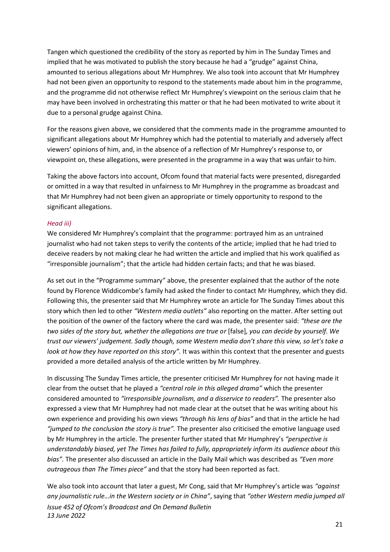Tangen which questioned the credibility of the story as reported by him in The Sunday Times and implied that he was motivated to publish the story because he had a "grudge" against China, amounted to serious allegations about Mr Humphrey. We also took into account that Mr Humphrey had not been given an opportunity to respond to the statements made about him in the programme, and the programme did not otherwise reflect Mr Humphrey's viewpoint on the serious claim that he may have been involved in orchestrating this matter or that he had been motivated to write about it due to a personal grudge against China.

For the reasons given above, we considered that the comments made in the programme amounted to significant allegations about Mr Humphrey which had the potential to materially and adversely affect viewers' opinions of him, and, in the absence of a reflection of Mr Humphrey's response to, or viewpoint on, these allegations, were presented in the programme in a way that was unfair to him.

Taking the above factors into account, Ofcom found that material facts were presented, disregarded or omitted in a way that resulted in unfairness to Mr Humphrey in the programme as broadcast and that Mr Humphrey had not been given an appropriate or timely opportunity to respond to the significant allegations.

#### *Head iii)*

We considered Mr Humphrey's complaint that the programme: portrayed him as an untrained journalist who had not taken steps to verify the contents of the article; implied that he had tried to deceive readers by not making clear he had written the article and implied that his work qualified as "irresponsible journalism"; that the article had hidden certain facts; and that he was biased.

As set out in the "Programme summary" above, the presenter explained that the author of the note found by Florence Widdicombe's family had asked the finder to contact Mr Humphrey, which they did. Following this, the presenter said that Mr Humphrey wrote an article for The Sunday Times about this story which then led to other *"Western media outlets"* also reporting on the matter. After setting out the position of the owner of the factory where the card was made, the presenter said: *"these are the two sides of the story but, whether the allegations are true or* [false]*, you can decide by yourself. We trust our viewers' judgement. Sadly though, some Western media don't share this view, so let's take a look at how they have reported on this story".* It was within this context that the presenter and guests provided a more detailed analysis of the article written by Mr Humphrey.

In discussing The Sunday Times article, the presenter criticised Mr Humphrey for not having made it clear from the outset that he played a *"central role in this alleged drama"* which the presenter considered amounted to *"irresponsible journalism, and a disservice to readers".* The presenter also expressed a view that Mr Humphrey had not made clear at the outset that he was writing about his own experience and providing his own views *"through his lens of bias"* and that in the article he had *"jumped to the conclusion the story is true".* The presenter also criticised the emotive language used by Mr Humphrey in the article. The presenter further stated that Mr Humphrey's *"perspective is understandably biased, yet The Times has failed to fully, appropriately inform its audience about this bias".* The presenter also discussed an article in the Daily Mail which was described as *"Even more outrageous than The Times piece"* and that the story had been reported as fact.

*Issue 452 of Ofcom's Broadcast and On Demand Bulletin 13 June 2022* We also took into account that later a guest, Mr Cong, said that Mr Humphrey's article was *"against any journalistic rule…in the Western society or in China"*, saying that *"other Western media jumped all*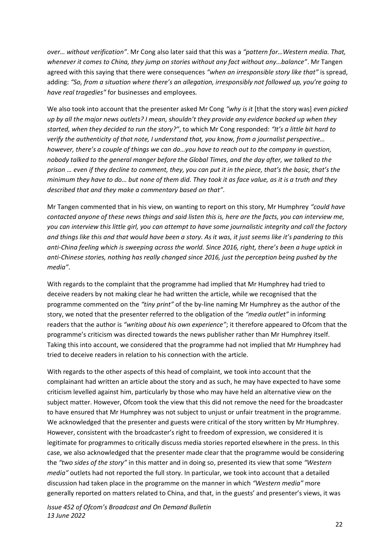*over… without verification"*. Mr Cong also later said that this was a *"pattern for…Western media. That, whenever it comes to China, they jump on stories without any fact without any…balance"*. Mr Tangen agreed with this saying that there were consequences *"when an irresponsible story like that"* is spread, adding: *"So, from a situation where there's an allegation, irresponsibly not followed up, you're going to have real tragedies"* for businesses and employees*.*

We also took into account that the presenter asked Mr Cong *"why is it* [that the story was] *even picked up by all the major news outlets? I mean, shouldn't they provide any evidence backed up when they started, when they decided to run the story?"*, to which Mr Cong responded: *"It's a little bit hard to verify the authenticity of that note, I understand that, you know, from a journalist perspective… however, there's a couple of things we can do…you have to reach out to the company in question, nobody talked to the general manger before the Global Times, and the day after, we talked to the prison … even if they decline to comment, they, you can put it in the piece, that's the basic, that's the minimum they have to do… but none of them did. They took it as face value, as it is a truth and they described that and they make a commentary based on that"*.

Mr Tangen commented that in his view, on wanting to report on this story, Mr Humphrey *"could have contacted anyone of these news things and said listen this is, here are the facts, you can interview me, you can interview this little girl, you can attempt to have some journalistic integrity and call the factory and things like this and that would have been a story. As it was, it just seems like it's pandering to this anti-China feeling which is sweeping across the world. Since 2016, right, there's been a huge uptick in anti-Chinese stories, nothing has really changed since 2016, just the perception being pushed by the media"*.

With regards to the complaint that the programme had implied that Mr Humphrey had tried to deceive readers by not making clear he had written the article, while we recognised that the programme commented on the *"tiny print"* of the by-line naming Mr Humphrey as the author of the story, we noted that the presenter referred to the obligation of the *"media outlet"* in informing readers that the author is *"writing about his own experience"*; it therefore appeared to Ofcom that the programme's criticism was directed towards the news publisher rather than Mr Humphrey itself. Taking this into account, we considered that the programme had not implied that Mr Humphrey had tried to deceive readers in relation to his connection with the article.

With regards to the other aspects of this head of complaint, we took into account that the complainant had written an article about the story and as such, he may have expected to have some criticism levelled against him, particularly by those who may have held an alternative view on the subject matter. However, Ofcom took the view that this did not remove the need for the broadcaster to have ensured that Mr Humphrey was not subject to unjust or unfair treatment in the programme. We acknowledged that the presenter and guests were critical of the story written by Mr Humphrey. However, consistent with the broadcaster's right to freedom of expression, we considered it is legitimate for programmes to critically discuss media stories reported elsewhere in the press. In this case, we also acknowledged that the presenter made clear that the programme would be considering the *"two sides of the story"* in this matter and in doing so, presented its view that some *"Western media"* outlets had not reported the full story. In particular, we took into account that a detailed discussion had taken place in the programme on the manner in which *"Western media"* more generally reported on matters related to China, and that, in the guests' and presenter's views, it was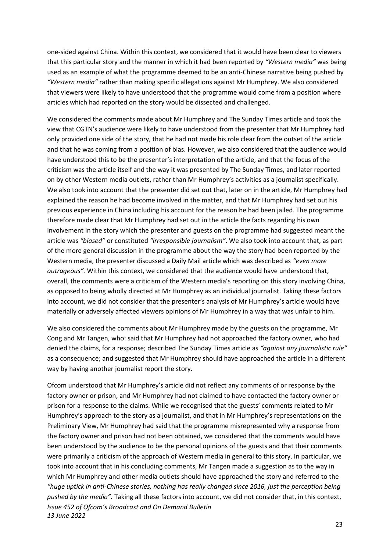one-sided against China. Within this context, we considered that it would have been clear to viewers that this particular story and the manner in which it had been reported by *"Western media"* was being used as an example of what the programme deemed to be an anti-Chinese narrative being pushed by *"Western media"* rather than making specific allegations against Mr Humphrey. We also considered that viewers were likely to have understood that the programme would come from a position where articles which had reported on the story would be dissected and challenged.

We considered the comments made about Mr Humphrey and The Sunday Times article and took the view that CGTN's audience were likely to have understood from the presenter that Mr Humphrey had only provided one side of the story, that he had not made his role clear from the outset of the article and that he was coming from a position of bias. However, we also considered that the audience would have understood this to be the presenter's interpretation of the article, and that the focus of the criticism was the article itself and the way it was presented by The Sunday Times, and later reported on by other Western media outlets, rather than Mr Humphrey's activities as a journalist specifically. We also took into account that the presenter did set out that, later on in the article, Mr Humphrey had explained the reason he had become involved in the matter, and that Mr Humphrey had set out his previous experience in China including his account for the reason he had been jailed. The programme therefore made clear that Mr Humphrey had set out in the article the facts regarding his own involvement in the story which the presenter and guests on the programme had suggested meant the article was *"biased"* or constituted *"irresponsible journalism"*. We also took into account that, as part of the more general discussion in the programme about the way the story had been reported by the Western media, the presenter discussed a Daily Mail article which was described as *"even more outrageous".* Within this context, we considered that the audience would have understood that, overall, the comments were a criticism of the Western media's reporting on this story involving China, as opposed to being wholly directed at Mr Humphrey as an individual journalist. Taking these factors into account, we did not consider that the presenter's analysis of Mr Humphrey's article would have materially or adversely affected viewers opinions of Mr Humphrey in a way that was unfair to him.

We also considered the comments about Mr Humphrey made by the guests on the programme, Mr Cong and Mr Tangen, who: said that Mr Humphrey had not approached the factory owner, who had denied the claims, for a response; described The Sunday Times article as *"against any journalistic rule"* as a consequence; and suggested that Mr Humphrey should have approached the article in a different way by having another journalist report the story.

*Issue 452 of Ofcom's Broadcast and On Demand Bulletin 13 June 2022* Ofcom understood that Mr Humphrey's article did not reflect any comments of or response by the factory owner or prison, and Mr Humphrey had not claimed to have contacted the factory owner or prison for a response to the claims. While we recognised that the guests' comments related to Mr Humphrey's approach to the story as a journalist, and that in Mr Humphrey's representations on the Preliminary View, Mr Humphrey had said that the programme misrepresented why a response from the factory owner and prison had not been obtained, we considered that the comments would have been understood by the audience to be the personal opinions of the guests and that their comments were primarily a criticism of the approach of Western media in general to this story. In particular, we took into account that in his concluding comments, Mr Tangen made a suggestion as to the way in which Mr Humphrey and other media outlets should have approached the story and referred to the *"huge uptick in anti-Chinese stories, nothing has really changed since 2016, just the perception being pushed by the media".* Taking all these factors into account, we did not consider that, in this context,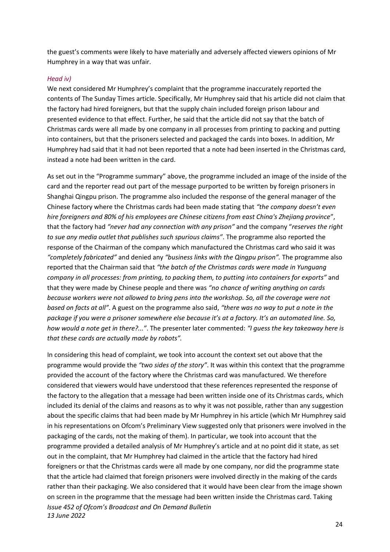the guest's comments were likely to have materially and adversely affected viewers opinions of Mr Humphrey in a way that was unfair.

#### *Head iv)*

We next considered Mr Humphrey's complaint that the programme inaccurately reported the contents of The Sunday Times article. Specifically, Mr Humphrey said that his article did not claim that the factory had hired foreigners, but that the supply chain included foreign prison labour and presented evidence to that effect. Further, he said that the article did not say that the batch of Christmas cards were all made by one company in all processes from printing to packing and putting into containers, but that the prisoners selected and packaged the cards into boxes. In addition, Mr Humphrey had said that it had not been reported that a note had been inserted in the Christmas card, instead a note had been written in the card.

As set out in the "Programme summary" above, the programme included an image of the inside of the card and the reporter read out part of the message purported to be written by foreign prisoners in Shanghai Qingpu prison. The programme also included the response of the general manager of the Chinese factory where the Christmas cards had been made stating that *"the company doesn't even hire foreigners and 80% of his employees are Chinese citizens from east China's Zhejiang province*", that the factory had *"never had any connection with any prison"* and the company "*reserves the right to sue any media outlet that publishes such spurious claims"*. The programme also reported the response of the Chairman of the company which manufactured the Christmas card who said it was *"completely fabricated"* and denied any *"business links with the Qingpu prison".* The programme also reported that the Chairman said that *"the batch of the Christmas cards were made in Yunguang company in all processes: from printing, to packing them, to putting into containers for exports"* and that they were made by Chinese people and there was *"no chance of writing anything on cards because workers were not allowed to bring pens into the workshop. So, all the coverage were not based on facts at all"*. A guest on the programme also said, *"there was no way to put a note in the package if you were a prisoner somewhere else because it's at a factory. It's an automated line. So, how would a note get in there?..."*. The presenter later commented: *"I guess the key takeaway here is that these cards are actually made by robots".* 

*Issue 452 of Ofcom's Broadcast and On Demand Bulletin 13 June 2022* In considering this head of complaint, we took into account the context set out above that the programme would provide the *"two sides of the story"*. It was within this context that the programme provided the account of the factory where the Christmas card was manufactured. We therefore considered that viewers would have understood that these references represented the response of the factory to the allegation that a message had been written inside one of its Christmas cards, which included its denial of the claims and reasons as to why it was not possible, rather than any suggestion about the specific claims that had been made by Mr Humphrey in his article (which Mr Humphrey said in his representations on Ofcom's Preliminary View suggested only that prisoners were involved in the packaging of the cards, not the making of them). In particular, we took into account that the programme provided a detailed analysis of Mr Humphrey's article and at no point did it state, as set out in the complaint, that Mr Humphrey had claimed in the article that the factory had hired foreigners or that the Christmas cards were all made by one company, nor did the programme state that the article had claimed that foreign prisoners were involved directly in the making of the cards rather than their packaging. We also considered that it would have been clear from the image shown on screen in the programme that the message had been written inside the Christmas card. Taking